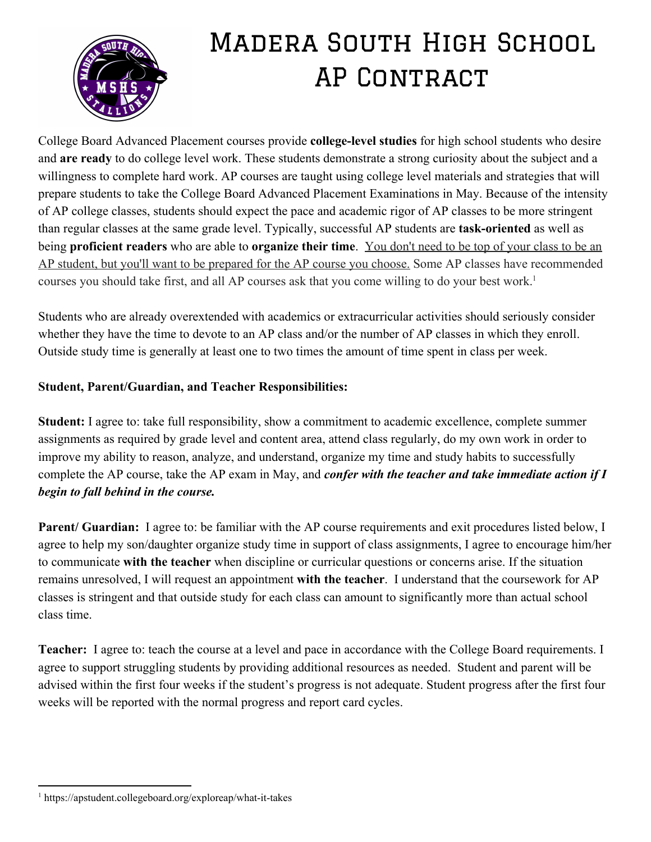

## Madera South High School **AP CONTRACT**

College Board Advanced Placement courses provide **college-level studies** for high school students who desire and **are ready**to do college level work. These students demonstrate a strong curiosity about the subject and a willingness to complete hard work. AP courses are taught using college level materials and strategies that will prepare students to take the College Board Advanced Placement Examinations in May. Because of the intensity of AP college classes, students should expect the pace and academic rigor of AP classes to be more stringent than regular classes at the same grade level. Typically, successful AP students are **task-oriented** as well as being **proficient readers**who are able to **organize their time**. You don't need to be top of your class to be an AP student, but you'll want to be prepared for the AP course you choose. Some AP classes have recommended courses you should take first, and all AP courses ask that you come willing to do your best work. 1

Students who are already overextended with academics or extracurricular activities should seriously consider whether they have the time to devote to an AP class and/or the number of AP classes in which they enroll. Outside study time is generally at least one to two times the amount of time spent in class per week.

## **Student, Parent/Guardian, and Teacher Responsibilities:**

**Student:** I agree to: take full responsibility, show a commitment to academic excellence, complete summer assignments as required by grade level and content area, attend class regularly, do my own work in order to improve my ability to reason, analyze, and understand, organize my time and study habits to successfully complete the AP course, take the AP exam in May, and *confer with the teacher and take immediate action if I begin to fall behind in the course.*

**Parent/ Guardian:** I agree to: be familiar with the AP course requirements and exit procedures listed below, I agree to help my son/daughter organize study time in support of class assignments, I agree to encourage him/her to communicate **with the teacher**when discipline or curricular questions or concerns arise. If the situation remains unresolved, I will request an appointment **with the teacher**. I understand that the coursework for AP classes is stringent and that outside study for each class can amount to significantly more than actual school class time.

**Teacher:** I agree to: teach the course at a level and pace in accordance with the College Board requirements. I agree to support struggling students by providing additional resources as needed. Student and parent will be advised within the first four weeks if the student's progress is not adequate. Student progress after the first four weeks will be reported with the normal progress and report card cycles.

 $1$  https://apstudent.collegeboard.org/exploreap/what-it-takes